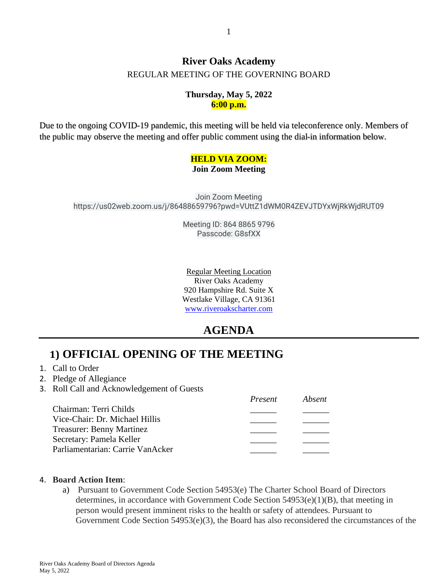#### **River Oaks Academy** REGULAR MEETING OF THE GOVERNING BOARD

#### **Thursday, May 5, 2022 6:00 p.m.**

Due to the ongoing COVID-19 pandemic, this meeting will be held via teleconference only. Members of the public may observe the meeting and offer public comment using the dial-in information below.

#### **HELD VIA ZOOM: Join Zoom Meeting**

Join Zoom Meeting https://us02web.zoom.us/j/86488659796?pwd=VUttZ1dWM0R4ZEVJTDYxWjRkWjdRUT09

> Meeting ID: 864 8865 9796 Passcode: G8sfXX

> Regular Meeting Location River Oaks Academy 920 Hampshire Rd. Suite X Westlake Village, CA 91361 [www.riveroakscharter.com](http://www.riveroakscharter.com/)

## **AGENDA**

## **1) OFFICIAL OPENING OF THE MEETING**

- 1. Call to Order
- 2. Pledge of Allegiance
- 3. Roll Call and Acknowledgement of Guests

|                                  | Present | Absent |
|----------------------------------|---------|--------|
| Chairman: Terri Childs           |         |        |
| Vice-Chair: Dr. Michael Hillis   |         |        |
| <b>Treasurer: Benny Martinez</b> |         |        |
| Secretary: Pamela Keller         |         |        |
| Parliamentarian: Carrie VanAcker |         |        |

#### 4. **Board Action Item**:

a) Pursuant to Government Code Section 54953(e) The Charter School Board of Directors determines, in accordance with Government Code Section 54953(e)(1)(B), that meeting in person would present imminent risks to the health or safety of attendees. Pursuant to Government Code Section 54953(e)(3), the Board has also reconsidered the circumstances of the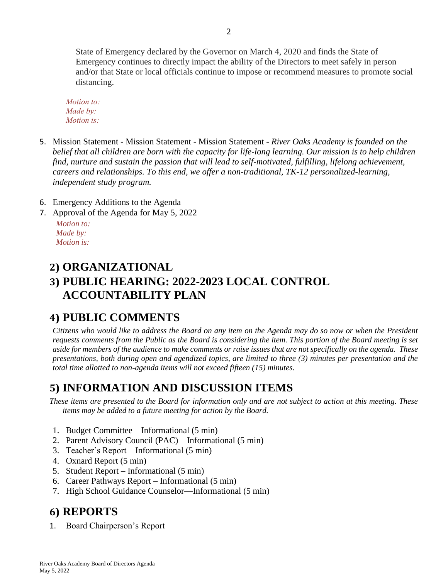State of Emergency declared by the Governor on March 4, 2020 and finds the State of Emergency continues to directly impact the ability of the Directors to meet safely in person and/or that State or local officials continue to impose or recommend measures to promote social distancing.

*Motion to: Made by: Motion is:*

- 5. Mission Statement Mission Statement Mission Statement *River Oaks Academy is founded on the belief that all children are born with the capacity for life-long learning. Our mission is to help children find, nurture and sustain the passion that will lead to self-motivated, fulfilling, lifelong achievement, careers and relationships. To this end, we offer a non-traditional, TK-12 personalized-learning, independent study program.*
- 6. Emergency Additions to the Agenda
- 7. Approval of the Agenda for May 5, 2022

```
Motion to:
Made by:
Motion is:
```
# **2) ORGANIZATIONAL 3) PUBLIC HEARING: 2022-2023 LOCAL CONTROL ACCOUNTABILITY PLAN**

# **4) PUBLIC COMMENTS**

*Citizens who would like to address the Board on any item on the Agenda may do so now or when the President requests comments from the Public as the Board is considering the item. This portion of the Board meeting is set aside for members of the audience to make comments or raise issues that are not specifically on the agenda. These presentations, both during open and agendized topics, are limited to three (3) minutes per presentation and the total time allotted to non-agenda items will not exceed fifteen (15) minutes.*

## **5) INFORMATION AND DISCUSSION ITEMS**

*These items are presented to the Board for information only and are not subject to action at this meeting. These items may be added to a future meeting for action by the Board.*

- 1. Budget Committee Informational (5 min)
- 2. Parent Advisory Council (PAC) Informational (5 min)
- 3. Teacher's Report Informational (5 min)
- 4. Oxnard Report (5 min)
- 5. Student Report Informational (5 min)
- 6. Career Pathways Report Informational (5 min)
- 7. High School Guidance Counselor—Informational (5 min)

## **6) REPORTS**

1. Board Chairperson's Report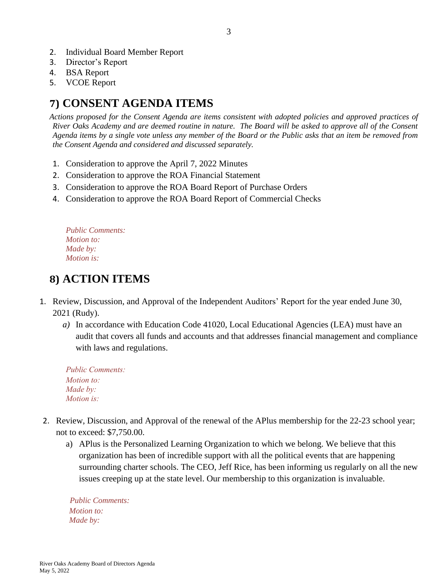- 2. Individual Board Member Report
- 3. Director's Report
- 4. BSA Report
- 5. VCOE Report

# **7) CONSENT AGENDA ITEMS**

*Actions proposed for the Consent Agenda are items consistent with adopted policies and approved practices of River Oaks Academy and are deemed routine in nature. The Board will be asked to approve all of the Consent Agenda items by a single vote unless any member of the Board or the Public asks that an item be removed from the Consent Agenda and considered and discussed separately.*

- 1. Consideration to approve the April 7, 2022 Minutes
- 2. Consideration to approve the ROA Financial Statement
- 3. Consideration to approve the ROA Board Report of Purchase Orders
- 4. Consideration to approve the ROA Board Report of Commercial Checks

*Public Comments: Motion to: Made by: Motion is:*

### **8) ACTION ITEMS**

- 1. Review, Discussion, and Approval of the Independent Auditors' Report for the year ended June 30, 2021 (Rudy).
	- *a)* In accordance with Education Code 41020, Local Educational Agencies (LEA) must have an audit that covers all funds and accounts and that addresses financial management and compliance with laws and regulations.

| <b>Public Comments:</b> |  |
|-------------------------|--|
| Motion to:              |  |
| Made by:                |  |
| <i>Motion is:</i>       |  |

- 2. Review, Discussion, and Approval of the renewal of the APlus membership for the 22-23 school year; not to exceed: \$7,750.00.
	- a) APlus is the Personalized Learning Organization to which we belong. We believe that this organization has been of incredible support with all the political events that are happening surrounding charter schools. The CEO, Jeff Rice, has been informing us regularly on all the new issues creeping up at the state level. Our membership to this organization is invaluable.

 *Public Comments: Motion to: Made by:*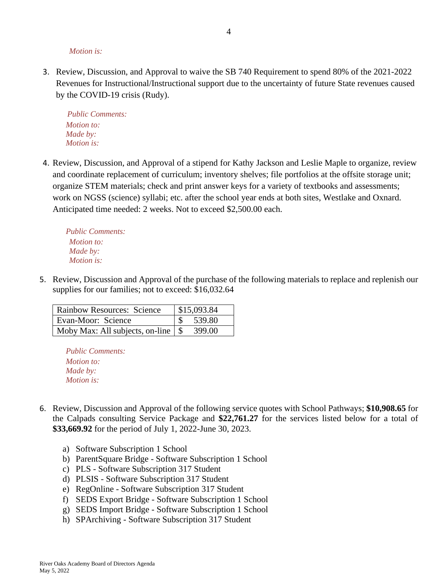*Motion is:*

3. Review, Discussion, and Approval to waive the SB 740 Requirement to spend 80% of the 2021-2022 Revenues for Instructional/Instructional support due to the uncertainty of future State revenues caused by the COVID-19 crisis (Rudy).

 *Public Comments: Motion to: Made by: Motion is:*

4. Review, Discussion, and Approval of a stipend for Kathy Jackson and Leslie Maple to organize, review and coordinate replacement of curriculum; inventory shelves; file portfolios at the offsite storage unit; organize STEM materials; check and print answer keys for a variety of textbooks and assessments; work on NGSS (science) syllabi; etc. after the school year ends at both sites, Westlake and Oxnard. Anticipated time needed: 2 weeks. Not to exceed \$2,500.00 each.

*Public Comments: Motion to: Made by: Motion is:*

5. Review, Discussion and Approval of the purchase of the following materials to replace and replenish our supplies for our families; not to exceed: \$16,032.64

| <b>Rainbow Resources: Science</b>             | \$15,093.84 |
|-----------------------------------------------|-------------|
| Evan-Moor: Science                            | 539.80      |
| Moby Max: All subjects, on-line $\frac{1}{5}$ | 399.00      |

*Public Comments: Motion to: Made by: Motion is:*

- 6. Review, Discussion and Approval of the following service quotes with School Pathways; **\$10,908.65** for the Calpads consulting Service Package and **\$22,761.27** for the services listed below for a total of **\$33,669.92** for the period of July 1, 2022-June 30, 2023.
	- a) Software Subscription 1 School
	- b) ParentSquare Bridge Software Subscription 1 School
	- c) PLS Software Subscription 317 Student
	- d) PLSIS Software Subscription 317 Student
	- e) RegOnline Software Subscription 317 Student
	- f) SEDS Export Bridge Software Subscription 1 School
	- g) SEDS Import Bridge Software Subscription 1 School
	- h) SPArchiving Software Subscription 317 Student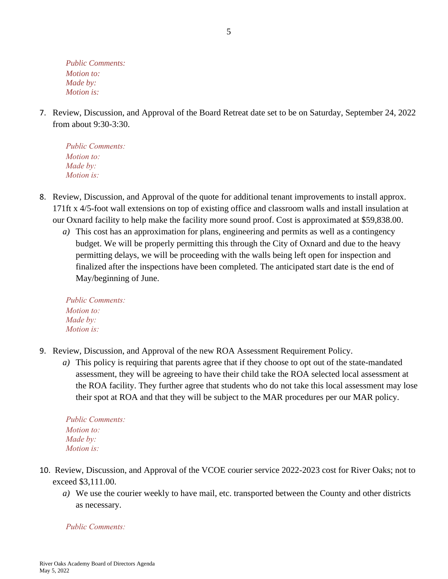*Public Comments: Motion to: Made by: Motion is:*

7. Review, Discussion, and Approval of the Board Retreat date set to be on Saturday, September 24, 2022 from about 9:30-3:30.

*Public Comments: Motion to: Made by: Motion is:*

- 8. Review, Discussion, and Approval of the quote for additional tenant improvements to install approx. 171ft x 4/5-foot wall extensions on top of existing office and classroom walls and install insulation at our Oxnard facility to help make the facility more sound proof. Cost is approximated at \$59,838.00.
	- *a)* This cost has an approximation for plans, engineering and permits as well as a contingency budget. We will be properly permitting this through the City of Oxnard and due to the heavy permitting delays, we will be proceeding with the walls being left open for inspection and finalized after the inspections have been completed. The anticipated start date is the end of May/beginning of June.

*Public Comments: Motion to: Made by: Motion is:*

- 9. Review, Discussion, and Approval of the new ROA Assessment Requirement Policy.
	- *a)* This policy is requiring that parents agree that if they choose to opt out of the state-mandated assessment, they will be agreeing to have their child take the ROA selected local assessment at the ROA facility. They further agree that students who do not take this local assessment may lose their spot at ROA and that they will be subject to the MAR procedures per our MAR policy.

*Public Comments: Motion to: Made by: Motion is:*

- 10. Review, Discussion, and Approval of the VCOE courier service 2022-2023 cost for River Oaks; not to exceed \$3,111.00.
	- *a*) We use the courier weekly to have mail, etc. transported between the County and other districts as necessary.

*Public Comments:*